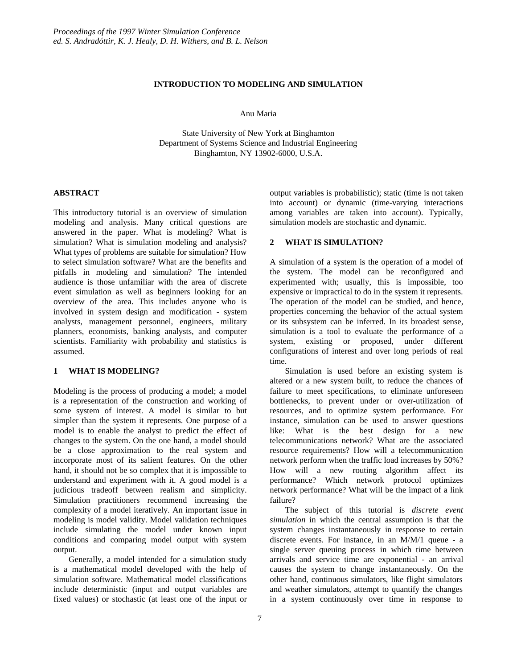# **INTRODUCTION TO MODELING AND SIMULATION**

Anu Maria

State University of New York at Binghamton Department of Systems Science and Industrial Engineering Binghamton, NY 13902-6000, U.S.A.

### **ABSTRACT**

This introductory tutorial is an overview of simulation modeling and analysis. Many critical questions are answered in the paper. What is modeling? What is simulation? What is simulation modeling and analysis? What types of problems are suitable for simulation? How to select simulation software? What are the benefits and pitfalls in modeling and simulation? The intended audience is those unfamiliar with the area of discrete event simulation as well as beginners looking for an overview of the area. This includes anyone who is involved in system design and modification - system analysts, management personnel, engineers, military planners, economists, banking analysts, and computer scientists. Familiarity with probability and statistics is assumed.

# **1 WHAT IS MODELING?**

Modeling is the process of producing a model; a model is a representation of the construction and working of some system of interest. A model is similar to but simpler than the system it represents. One purpose of a model is to enable the analyst to predict the effect of changes to the system. On the one hand, a model should be a close approximation to the real system and incorporate most of its salient features. On the other hand, it should not be so complex that it is impossible to understand and experiment with it. A good model is a judicious tradeoff between realism and simplicity. Simulation practitioners recommend increasing the complexity of a model iteratively. An important issue in modeling is model validity. Model validation techniques include simulating the model under known input conditions and comparing model output with system output.

Generally, a model intended for a simulation study is a mathematical model developed with the help of simulation software. Mathematical model classifications include deterministic (input and output variables are fixed values) or stochastic (at least one of the input or output variables is probabilistic); static (time is not taken into account) or dynamic (time-varying interactions among variables are taken into account). Typically, simulation models are stochastic and dynamic.

# **2 WHAT IS SIMULATION?**

A simulation of a system is the operation of a model of the system. The model can be reconfigured and experimented with; usually, this is impossible, too expensive or impractical to do in the system it represents. The operation of the model can be studied, and hence, properties concerning the behavior of the actual system or its subsystem can be inferred. In its broadest sense, simulation is a tool to evaluate the performance of a system, existing or proposed, under different configurations of interest and over long periods of real time.

Simulation is used before an existing system is altered or a new system built, to reduce the chances of failure to meet specifications, to eliminate unforeseen bottlenecks, to prevent under or over-utilization of resources, and to optimize system performance. For instance, simulation can be used to answer questions like: What is the best design for a new telecommunications network? What are the associated resource requirements? How will a telecommunication network perform when the traffic load increases by 50%? How will a new routing algorithm affect its performance? Which network protocol optimizes network performance? What will be the impact of a link failure?

The subject of this tutorial is *discrete event simulation* in which the central assumption is that the system changes instantaneously in response to certain discrete events. For instance, in an M/M/1 queue - a single server queuing process in which time between arrivals and service time are exponential - an arrival causes the system to change instantaneously. On the other hand, continuous simulators, like flight simulators and weather simulators, attempt to quantify the changes in a system continuously over time in response to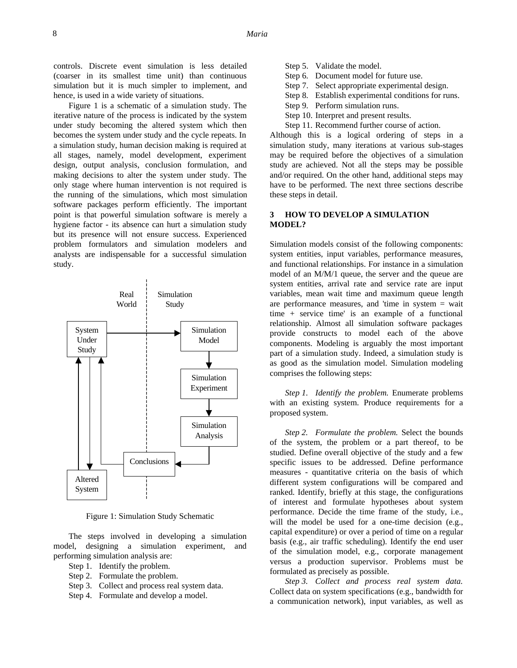controls. Discrete event simulation is less detailed (coarser in its smallest time unit) than continuous simulation but it is much simpler to implement, and hence, is used in a wide variety of situations.

Figure 1 is a schematic of a simulation study. The iterative nature of the process is indicated by the system under study becoming the altered system which then becomes the system under study and the cycle repeats. In a simulation study, human decision making is required at all stages, namely, model development, experiment design, output analysis, conclusion formulation, and making decisions to alter the system under study. The only stage where human intervention is not required is the running of the simulations, which most simulation software packages perform efficiently. The important point is that powerful simulation software is merely a hygiene factor - its absence can hurt a simulation study but its presence will not ensure success. Experienced problem formulators and simulation modelers and analysts are indispensable for a successful simulation study.



Figure 1: Simulation Study Schematic

The steps involved in developing a simulation model, designing a simulation experiment, and performing simulation analysis are:

- Step 1. Identify the problem.
- Step 2. Formulate the problem.
- Step 3. Collect and process real system data.
- Step 4. Formulate and develop a model.
- Step 5. Validate the model.
- Step 6. Document model for future use.
- Step 7. Select appropriate experimental design.
- Step 8. Establish experimental conditions for runs.
- Step 9. Perform simulation runs.
- Step 10. Interpret and present results.
- Step 11. Recommend further course of action.

Although this is a logical ordering of steps in a simulation study, many iterations at various sub-stages may be required before the objectives of a simulation study are achieved. Not all the steps may be possible and/or required. On the other hand, additional steps may have to be performed. The next three sections describe these steps in detail.

# **3 HOW TO DEVELOP A SIMULATION MODEL?**

Simulation models consist of the following components: system entities, input variables, performance measures, and functional relationships. For instance in a simulation model of an M/M/1 queue, the server and the queue are system entities, arrival rate and service rate are input variables, mean wait time and maximum queue length are performance measures, and 'time in system = wait time + service time' is an example of a functional relationship. Almost all simulation software packages provide constructs to model each of the above components. Modeling is arguably the most important part of a simulation study. Indeed, a simulation study is as good as the simulation model. Simulation modeling comprises the following steps:

*Step 1. Identify the problem.* Enumerate problems with an existing system. Produce requirements for a proposed system.

*Step 2. Formulate the problem.* Select the bounds of the system, the problem or a part thereof, to be studied. Define overall objective of the study and a few specific issues to be addressed. Define performance measures - quantitative criteria on the basis of which different system configurations will be compared and ranked. Identify, briefly at this stage, the configurations of interest and formulate hypotheses about system performance. Decide the time frame of the study, i.e., will the model be used for a one-time decision (e.g., capital expenditure) or over a period of time on a regular basis (e.g., air traffic scheduling). Identify the end user of the simulation model, e.g., corporate management versus a production supervisor. Problems must be formulated as precisely as possible.

*Step 3. Collect and process real system data.* Collect data on system specifications (e.g., bandwidth for a communication network), input variables, as well as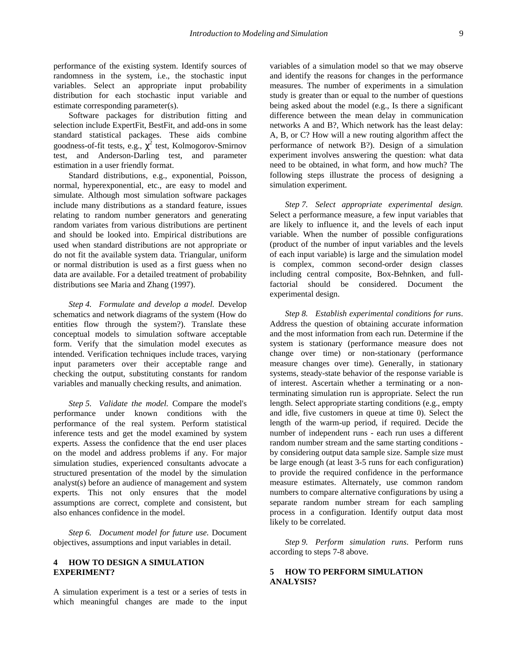performance of the existing system. Identify sources of randomness in the system, i.e., the stochastic input variables. Select an appropriate input probability distribution for each stochastic input variable and estimate corresponding parameter(s).

Software packages for distribution fitting and selection include ExpertFit, BestFit, and add-ons in some standard statistical packages. These aids combine goodness-of-fit tests, e.g.,  $\chi^2$  test, Kolmogorov-Smirnov test, and Anderson-Darling test, and parameter estimation in a user friendly format.

Standard distributions, e.g., exponential, Poisson, normal, hyperexponential, etc., are easy to model and simulate. Although most simulation software packages include many distributions as a standard feature, issues relating to random number generators and generating random variates from various distributions are pertinent and should be looked into. Empirical distributions are used when standard distributions are not appropriate or do not fit the available system data. Triangular, uniform or normal distribution is used as a first guess when no data are available. For a detailed treatment of probability distributions see Maria and Zhang (1997).

*Step 4. Formulate and develop a model.* Develop schematics and network diagrams of the system (How do entities flow through the system?). Translate these conceptual models to simulation software acceptable form. Verify that the simulation model executes as intended. Verification techniques include traces, varying input parameters over their acceptable range and checking the output, substituting constants for random variables and manually checking results, and animation.

*Step 5. Validate the model.* Compare the model's performance under known conditions with the performance of the real system. Perform statistical inference tests and get the model examined by system experts. Assess the confidence that the end user places on the model and address problems if any. For major simulation studies, experienced consultants advocate a structured presentation of the model by the simulation analyst(s) before an audience of management and system experts. This not only ensures that the model assumptions are correct, complete and consistent, but also enhances confidence in the model.

*Step 6. Document model for future use.* Document objectives, assumptions and input variables in detail.

# **4 HOW TO DESIGN A SIMULATION EXPERIMENT?**

A simulation experiment is a test or a series of tests in which meaningful changes are made to the input

variables of a simulation model so that we may observe and identify the reasons for changes in the performance measures. The number of experiments in a simulation study is greater than or equal to the number of questions being asked about the model (e.g., Is there a significant difference between the mean delay in communication networks A and B?, Which network has the least delay: A, B, or C? How will a new routing algorithm affect the performance of network B?). Design of a simulation experiment involves answering the question: what data need to be obtained, in what form, and how much? The following steps illustrate the process of designing a simulation experiment.

*Step 7. Select appropriate experimental design.* Select a performance measure, a few input variables that are likely to influence it, and the levels of each input variable. When the number of possible configurations (product of the number of input variables and the levels of each input variable) is large and the simulation model is complex, common second-order design classes including central composite, Box-Behnken, and fullfactorial should be considered. Document the experimental design.

*Step 8. Establish experimental conditions for runs*. Address the question of obtaining accurate information and the most information from each run. Determine if the system is stationary (performance measure does not change over time) or non-stationary (performance measure changes over time). Generally, in stationary systems, steady-state behavior of the response variable is of interest. Ascertain whether a terminating or a nonterminating simulation run is appropriate. Select the run length. Select appropriate starting conditions (e.g., empty and idle, five customers in queue at time 0). Select the length of the warm-up period, if required. Decide the number of independent runs - each run uses a different random number stream and the same starting conditions by considering output data sample size. Sample size must be large enough (at least 3-5 runs for each configuration) to provide the required confidence in the performance measure estimates. Alternately, use common random numbers to compare alternative configurations by using a separate random number stream for each sampling process in a configuration. Identify output data most likely to be correlated.

*Step 9. Perform simulation runs*. Perform runs according to steps 7-8 above.

# **5 HOW TO PERFORM SIMULATION ANALYSIS?**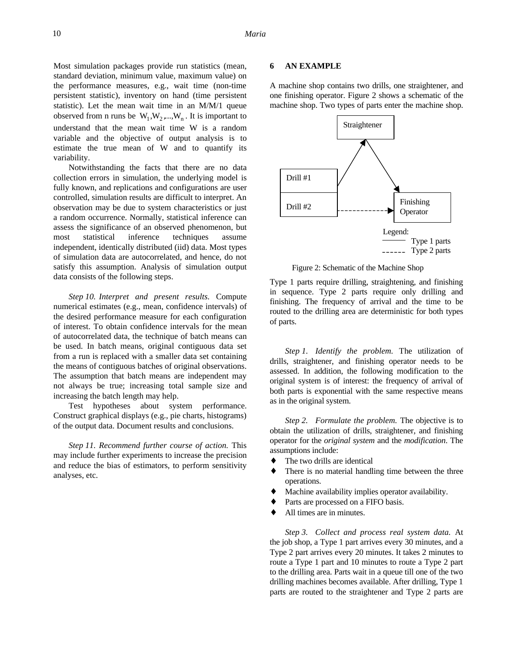Most simulation packages provide run statistics (mean, standard deviation, minimum value, maximum value) on the performance measures, e.g., wait time (non-time persistent statistic), inventory on hand (time persistent statistic). Let the mean wait time in an M/M/1 queue observed from n runs be  $W_1, W_2, \ldots, W_n$ . It is important to understand that the mean wait time W is a random variable and the objective of output analysis is to estimate the true mean of W and to quantify its variability.

Notwithstanding the facts that there are no data collection errors in simulation, the underlying model is fully known, and replications and configurations are user controlled, simulation results are difficult to interpret. An observation may be due to system characteristics or just a random occurrence. Normally, statistical inference can assess the significance of an observed phenomenon, but most statistical inference techniques assume independent, identically distributed (iid) data. Most types of simulation data are autocorrelated, and hence, do not satisfy this assumption. Analysis of simulation output data consists of the following steps.

*Step 10. Interpret and present results.* Compute numerical estimates (e.g., mean, confidence intervals) of the desired performance measure for each configuration of interest. To obtain confidence intervals for the mean of autocorrelated data, the technique of batch means can be used. In batch means, original contiguous data set from a run is replaced with a smaller data set containing the means of contiguous batches of original observations. The assumption that batch means are independent may not always be true; increasing total sample size and increasing the batch length may help.

Test hypotheses about system performance. Construct graphical displays (e.g., pie charts, histograms) of the output data. Document results and conclusions.

*Step 11. Recommend further course of action.* This may include further experiments to increase the precision and reduce the bias of estimators, to perform sensitivity analyses, etc.

#### **6 AN EXAMPLE**

A machine shop contains two drills, one straightener, and one finishing operator. Figure 2 shows a schematic of the machine shop. Two types of parts enter the machine shop.



Figure 2: Schematic of the Machine Shop

Type 1 parts require drilling, straightening, and finishing in sequence. Type 2 parts require only drilling and finishing. The frequency of arrival and the time to be routed to the drilling area are deterministic for both types of parts.

*Step 1. Identify the problem.* The utilization of drills, straightener, and finishing operator needs to be assessed. In addition, the following modification to the original system is of interest: the frequency of arrival of both parts is exponential with the same respective means as in the original system.

*Step 2. Formulate the problem.* The objective is to obtain the utilization of drills, straightener, and finishing operator for the *original system* and the *modification*. The assumptions include:

- $\bullet$  The two drills are identical
- There is no material handling time between the three operations.
- Machine availability implies operator availability.
- Parts are processed on a FIFO basis.
- All times are in minutes.

*Step 3. Collect and process real system data.* At the job shop, a Type 1 part arrives every 30 minutes, and a Type 2 part arrives every 20 minutes. It takes 2 minutes to route a Type 1 part and 10 minutes to route a Type 2 part to the drilling area. Parts wait in a queue till one of the two drilling machines becomes available. After drilling, Type 1 parts are routed to the straightener and Type 2 parts are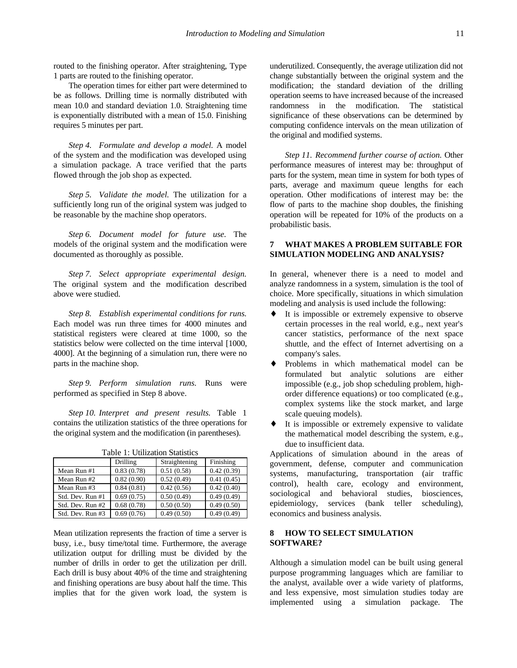routed to the finishing operator. After straightening, Type 1 parts are routed to the finishing operator.

The operation times for either part were determined to be as follows. Drilling time is normally distributed with mean 10.0 and standard deviation 1.0. Straightening time is exponentially distributed with a mean of 15.0. Finishing requires 5 minutes per part.

*Step 4. Formulate and develop a model.* A model of the system and the modification was developed using a simulation package. A trace verified that the parts flowed through the job shop as expected.

*Step 5. Validate the model.* The utilization for a sufficiently long run of the original system was judged to be reasonable by the machine shop operators.

*Step 6. Document model for future use.* The models of the original system and the modification were documented as thoroughly as possible.

*Step 7. Select appropriate experimental design.* The original system and the modification described above were studied.

*Step 8. Establish experimental conditions for runs.* Each model was run three times for 4000 minutes and statistical registers were cleared at time 1000, so the statistics below were collected on the time interval [1000, 4000]. At the beginning of a simulation run, there were no parts in the machine shop.

*Step 9. Perform simulation runs.* Runs were performed as specified in Step 8 above.

*Step 10. Interpret and present results.* Table 1 contains the utilization statistics of the three operations for the original system and the modification (in parentheses).

Table 1: Utilization Statistics

| 1 acie 1: Cumaanon saansucs |            |               |            |  |
|-----------------------------|------------|---------------|------------|--|
|                             | Drilling   | Straightening | Finishing  |  |
| Mean Run #1                 | 0.83(0.78) | 0.51(0.58)    | 0.42(0.39) |  |
| Mean Run #2                 | 0.82(0.90) | 0.52(0.49)    | 0.41(0.45) |  |
| Mean Run #3                 | 0.84(0.81) | 0.42(0.56)    | 0.42(0.40) |  |
| Std. Dev. Run #1            | 0.69(0.75) | 0.50(0.49)    | 0.49(0.49) |  |
| Std. Dev. Run #2            | 0.68(0.78) | 0.50(0.50)    | 0.49(0.50) |  |
| Std. Dev. Run #3            | 0.69(0.76) | 0.49(0.50)    | 0.49(0.49) |  |

Mean utilization represents the fraction of time a server is busy, i.e., busy time/total time. Furthermore, the average utilization output for drilling must be divided by the number of drills in order to get the utilization per drill. Each drill is busy about 40% of the time and straightening and finishing operations are busy about half the time. This implies that for the given work load, the system is

underutilized. Consequently, the average utilization did not change substantially between the original system and the modification; the standard deviation of the drilling operation seems to have increased because of the increased randomness in the modification. The statistical significance of these observations can be determined by computing confidence intervals on the mean utilization of the original and modified systems.

*Step 11. Recommend further course of action.* Other performance measures of interest may be: throughput of parts for the system, mean time in system for both types of parts, average and maximum queue lengths for each operation. Other modifications of interest may be: the flow of parts to the machine shop doubles, the finishing operation will be repeated for 10% of the products on a probabilistic basis.

### **7 WHAT MAKES A PROBLEM SUITABLE FOR SIMULATION MODELING AND ANALYSIS?**

In general, whenever there is a need to model and analyze randomness in a system, simulation is the tool of choice. More specifically, situations in which simulation modeling and analysis is used include the following:

- ♦ It is impossible or extremely expensive to observe certain processes in the real world, e.g., next year's cancer statistics, performance of the next space shuttle, and the effect of Internet advertising on a company's sales.
- Problems in which mathematical model can be formulated but analytic solutions are either impossible (e.g., job shop scheduling problem, highorder difference equations) or too complicated (e.g., complex systems like the stock market, and large scale queuing models).
- ♦ It is impossible or extremely expensive to validate the mathematical model describing the system, e.g., due to insufficient data.

Applications of simulation abound in the areas of government, defense, computer and communication systems, manufacturing, transportation (air traffic control), health care, ecology and environment, sociological and behavioral studies, biosciences, epidemiology, services (bank teller scheduling), economics and business analysis.

# **8 HOW TO SELECT SIMULATION SOFTWARE?**

Although a simulation model can be built using general purpose programming languages which are familiar to the analyst, available over a wide variety of platforms, and less expensive, most simulation studies today are implemented using a simulation package. The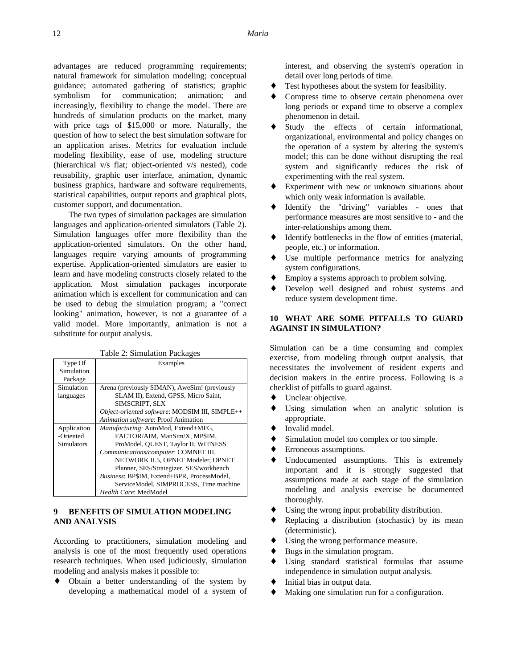advantages are reduced programming requirements; natural framework for simulation modeling; conceptual guidance; automated gathering of statistics; graphic symbolism for communication; animation; and increasingly, flexibility to change the model. There are hundreds of simulation products on the market, many with price tags of \$15,000 or more. Naturally, the question of how to select the best simulation software for an application arises. Metrics for evaluation include modeling flexibility, ease of use, modeling structure (hierarchical v/s flat; object-oriented v/s nested), code reusability, graphic user interface, animation, dynamic business graphics, hardware and software requirements, statistical capabilities, output reports and graphical plots, customer support, and documentation.

The two types of simulation packages are simulation languages and application-oriented simulators (Table 2). Simulation languages offer more flexibility than the application-oriented simulators. On the other hand, languages require varying amounts of programming expertise. Application-oriented simulators are easier to learn and have modeling constructs closely related to the application. Most simulation packages incorporate animation which is excellent for communication and can be used to debug the simulation program; a "correct looking" animation, however, is not a guarantee of a valid model. More importantly, animation is not a substitute for output analysis.

| Table 2: Simulation Packages |  |
|------------------------------|--|
|------------------------------|--|

| $\cdots$          |                                                |  |
|-------------------|------------------------------------------------|--|
| Type Of           | Examples                                       |  |
| Simulation        |                                                |  |
| Package           |                                                |  |
| Simulation        | Arena (previously SIMAN), AweSim! (previously  |  |
| languages         | SLAM II), Extend, GPSS, Micro Saint,           |  |
|                   | SIMSCRIPT. SLX                                 |  |
|                   | Object-oriented software: MODSIM III, SIMPLE++ |  |
|                   | Animation software: Proof Animation            |  |
| Application       | Manufacturing: AutoMod, Extend+MFG,            |  |
| -Oriented         | FACTOR/AIM, ManSim/X, MP\$IM,                  |  |
| <b>Simulators</b> | ProModel, QUEST, Taylor II, WITNESS            |  |
|                   | Communications/computer: COMNET III,           |  |
|                   | NETWORK II.5, OPNET Modeler, OPNET             |  |
|                   | Planner, SES/Strategizer, SES/workbench        |  |
|                   | Business: BP\$IM, Extend+BPR, ProcessModel,    |  |
|                   | ServiceModel, SIMPROCESS, Time machine         |  |
|                   | Health Care: MedModel                          |  |

# **9 BENEFITS OF SIMULATION MODELING AND ANALYSIS**

According to practitioners, simulation modeling and analysis is one of the most frequently used operations research techniques. When used judiciously, simulation modeling and analysis makes it possible to:

♦ Obtain a better understanding of the system by developing a mathematical model of a system of interest, and observing the system's operation in detail over long periods of time.

- Test hypotheses about the system for feasibility.
- Compress time to observe certain phenomena over long periods or expand time to observe a complex phenomenon in detail.
- ♦ Study the effects of certain informational, organizational, environmental and policy changes on the operation of a system by altering the system's model; this can be done without disrupting the real system and significantly reduces the risk of experimenting with the real system.
- Experiment with new or unknown situations about which only weak information is available.
- Identify the "driving" variables ones that performance measures are most sensitive to - and the inter-relationships among them.
- Identify bottlenecks in the flow of entities (material, people, etc.) or information.
- ♦ Use multiple performance metrics for analyzing system configurations.
- Employ a systems approach to problem solving.
- Develop well designed and robust systems and reduce system development time.

# **10 WHAT ARE SOME PITFALLS TO GUARD AGAINST IN SIMULATION?**

Simulation can be a time consuming and complex exercise, from modeling through output analysis, that necessitates the involvement of resident experts and decision makers in the entire process. Following is a checklist of pitfalls to guard against.

- ♦ Unclear objective.
- Using simulation when an analytic solution is appropriate.
- ♦ Invalid model.
- ♦ Simulation model too complex or too simple.
- Erroneous assumptions.
- Undocumented assumptions. This is extremely important and it is strongly suggested that assumptions made at each stage of the simulation modeling and analysis exercise be documented thoroughly.
- ♦ Using the wrong input probability distribution.
- Replacing a distribution (stochastic) by its mean (deterministic).
- ♦ Using the wrong performance measure.
- Bugs in the simulation program.
- ♦ Using standard statistical formulas that assume independence in simulation output analysis.
- $\bullet$  Initial bias in output data.
- ♦ Making one simulation run for a configuration.